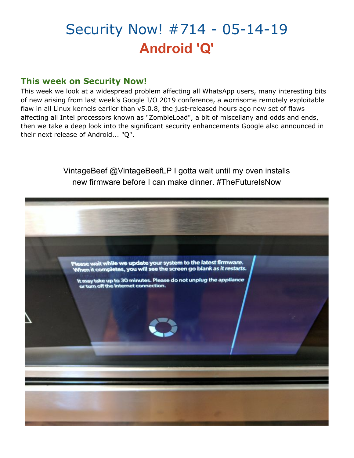# Security Now! #714 - 05-14-19 **Android 'Q'**

#### **This week on Security Now!**

This week we look at a widespread problem affecting all WhatsApp users, many interesting bits of new arising from last week's Google I/O 2019 conference, a worrisome remotely exploitable flaw in all Linux kernels earlier than v5.0.8, the just-released hours ago new set of flaws affecting all Intel processors known as "ZombieLoad", a bit of miscellany and odds and ends, then we take a deep look into the significant security enhancements Google also announced in their next release of Android... "Q".

> VintageBeef @VintageBeefLP I gotta wait until my oven installs new firmware before I can make dinner. #TheFutureIsNow

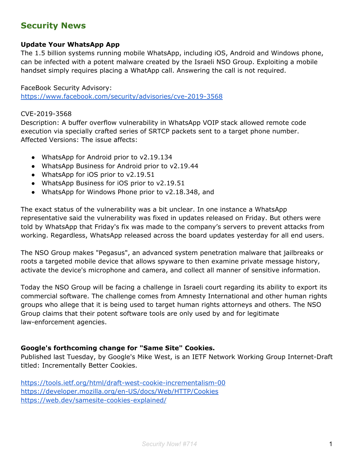### **Security News**

#### **Update Your WhatsApp App**

The 1.5 billion systems running mobile WhatsApp, including iOS, Android and Windows phone, can be infected with a potent malware created by the Israeli NSO Group. Exploiting a mobile handset simply requires placing a WhatApp call. Answering the call is not required.

FaceBook Security Advisory: <https://www.facebook.com/security/advisories/cve-2019-3568>

#### CVE-2019-3568

Description: A buffer overflow vulnerability in WhatsApp VOIP stack allowed remote code execution via specially crafted series of SRTCP packets sent to a target phone number. Affected Versions: The issue affects:

- WhatsApp for Android prior to v2.19.134
- WhatsApp Business for Android prior to v2.19.44
- WhatsApp for iOS prior to v2.19.51
- WhatsApp Business for iOS prior to v2.19.51
- WhatsApp for Windows Phone prior to v2.18.348, and

The exact status of the vulnerability was a bit unclear. In one instance a WhatsApp representative said the vulnerability was fixed in updates released on Friday. But others were told by WhatsApp that Friday's fix was made to the company's servers to prevent attacks from working. Regardless, WhatsApp released across the board updates yesterday for all end users.

The NSO Group makes "Pegasus", an advanced system penetration malware that jailbreaks or roots a targeted mobile device that allows spyware to then examine private message history, activate the device's microphone and camera, and collect all manner of sensitive information.

Today the NSO Group will be facing a challenge in Israeli court regarding its ability to export its commercial software. The challenge comes from Amnesty International and other human rights groups who allege that it is being used to target human rights attorneys and others. The NSO Group claims that their potent software tools are only used by and for legitimate law-enforcement agencies.

#### **Google's forthcoming change for "Same Site" Cookies.**

Published last Tuesday, by Google's Mike West, is an IETF Network Working Group Internet-Draft titled: Incrementally Better Cookies.

<https://tools.ietf.org/html/draft-west-cookie-incrementalism-00> <https://developer.mozilla.org/en-US/docs/Web/HTTP/Cookies> <https://web.dev/samesite-cookies-explained/>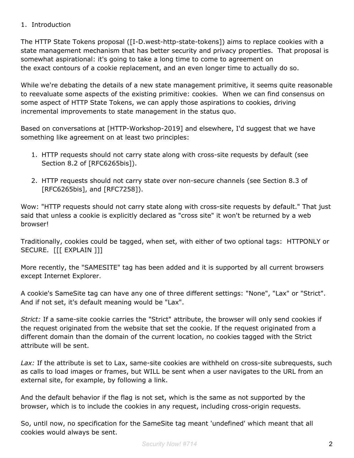#### 1. Introduction

The HTTP State Tokens proposal ([I-D.west-http-state-tokens]) aims to replace cookies with a state management mechanism that has better security and privacy properties. That proposal is somewhat aspirational: it's going to take a long time to come to agreement on the exact contours of a cookie replacement, and an even longer time to actually do so.

While we're debating the details of a new state management primitive, it seems quite reasonable to reevaluate some aspects of the existing primitive: cookies. When we can find consensus on some aspect of HTTP State Tokens, we can apply those aspirations to cookies, driving incremental improvements to state management in the status quo.

Based on conversations at [HTTP-Workshop-2019] and elsewhere, I'd suggest that we have something like agreement on at least two principles:

- 1. HTTP requests should not carry state along with cross-site requests by default (see Section 8.2 of [RFC6265bis]).
- 2. HTTP requests should not carry state over non-secure channels (see Section 8.3 of [RFC6265bis], and [RFC7258]).

Wow: "HTTP requests should not carry state along with cross-site requests by default." That just said that unless a cookie is explicitly declared as "cross site" it won't be returned by a web browser!

Traditionally, cookies could be tagged, when set, with either of two optional tags: HTTPONLY or SECURE. [[[ EXPLAIN ]]]

More recently, the "SAMESITE" tag has been added and it is supported by all current browsers except Internet Explorer.

A cookie's SameSite tag can have any one of three different settings: "None", "Lax" or "Strict". And if not set, it's default meaning would be "Lax".

*Strict:* If a same-site cookie carries the "Strict" attribute, the browser will only send cookies if the request originated from the website that set the cookie. If the request originated from a different domain than the domain of the current location, no cookies tagged with the Strict attribute will be sent.

Lax: If the attribute is set to Lax, same-site cookies are withheld on cross-site subrequests, such as calls to load images or frames, but WILL be sent when a user navigates to the URL from an external site, for example, by following a link.

And the default behavior if the flag is not set, which is the same as not supported by the browser, which is to include the cookies in any request, including cross-origin requests.

So, until now, no specification for the SameSite tag meant 'undefined' which meant that all cookies would always be sent.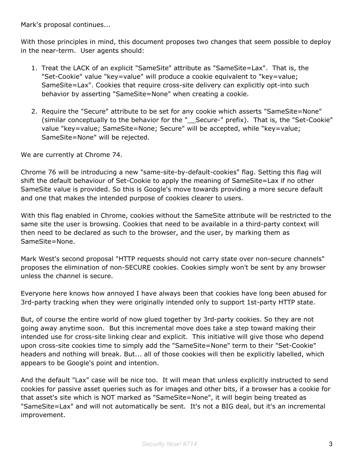Mark's proposal continues...

With those principles in mind, this document proposes two changes that seem possible to deploy in the near-term. User agents should:

- 1. Treat the LACK of an explicit "SameSite" attribute as "SameSite=Lax". That is, the "Set-Cookie" value "key=value" will produce a cookie equivalent to "key=value; SameSite=Lax". Cookies that require cross-site delivery can explicitly opt-into such behavior by asserting "SameSite=None" when creating a cookie.
- 2. Require the "Secure" attribute to be set for any cookie which asserts "SameSite=None" (similar conceptually to the behavior for the "\_\_Secure-" prefix). That is, the "Set-Cookie" value "key=value; SameSite=None; Secure" will be accepted, while "key=value; SameSite=None" will be rejected.

We are currently at Chrome 74.

Chrome 76 will be introducing a new "same-site-by-default-cookies" flag. Setting this flag will shift the default behaviour of Set-Cookie to apply the meaning of SameSite=Lax if no other SameSite value is provided. So this is Google's move towards providing a more secure default and one that makes the intended purpose of cookies clearer to users.

With this flag enabled in Chrome, cookies without the SameSite attribute will be restricted to the same site the user is browsing. Cookies that need to be available in a third-party context will then need to be declared as such to the browser, and the user, by marking them as SameSite=None.

Mark West's second proposal "HTTP requests should not carry state over non-secure channels" proposes the elimination of non-SECURE cookies. Cookies simply won't be sent by any browser unless the channel is secure.

Everyone here knows how annoyed I have always been that cookies have long been abused for 3rd-party tracking when they were originally intended only to support 1st-party HTTP state.

But, of course the entire world of now glued together by 3rd-party cookies. So they are not going away anytime soon. But this incremental move does take a step toward making their intended use for cross-site linking clear and explicit. This initiative will give those who depend upon cross-site cookies time to simply add the "SameSite=None" term to their "Set-Cookie" headers and nothing will break. But... all of those cookies will then be explicitly labelled, which appears to be Google's point and intention.

And the default "Lax" case will be nice too. It will mean that unless explicitly instructed to send cookies for passive asset queries such as for images and other bits, if a browser has a cookie for that asset's site which is NOT marked as "SameSite=None", it will begin being treated as "SameSite=Lax" and will not automatically be sent. It's not a BIG deal, but it's an incremental improvement.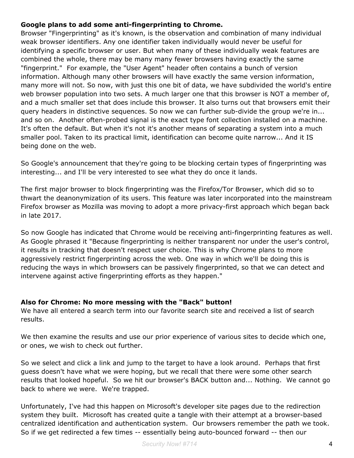#### **Google plans to add some anti-fingerprinting to Chrome.**

Browser "Fingerprinting" as it's known, is the observation and combination of many individual weak browser identifiers. Any one identifier taken individually would never be useful for identifying a specific browser or user. But when many of these individually weak features are combined the whole, there may be many many fewer browsers having exactly the same "fingerprint." For example, the "User Agent" header often contains a bunch of version information. Although many other browsers will have exactly the same version information, many more will not. So now, with just this one bit of data, we have subdivided the world's entire web browser population into two sets. A much larger one that this browser is NOT a member of, and a much smaller set that does include this browser. It also turns out that browsers emit their query headers in distinctive sequences. So now we can further sub-divide the group we're in... and so on. Another often-probed signal is the exact type font collection installed on a machine. It's often the default. But when it's not it's another means of separating a system into a much smaller pool. Taken to its practical limit, identification can become quite narrow... And it IS being done on the web.

So Google's announcement that they're going to be blocking certain types of fingerprinting was interesting... and I'll be very interested to see what they do once it lands.

The first major browser to block fingerprinting was the Firefox/Tor Browser, which did so to thwart the deanonymization of its users. This feature was later incorporated into the mainstream Firefox browser as Mozilla was moving to adopt a more privacy-first approach which began back in late 2017.

So now Google has indicated that Chrome would be receiving anti-fingerprinting features as well. As Google phrased it "Because fingerprinting is neither transparent nor under the user's control, it results in tracking that doesn't respect user choice. This is why Chrome plans to more aggressively restrict fingerprinting across the web. One way in which we'll be doing this is reducing the ways in which browsers can be passively fingerprinted, so that we can detect and intervene against active fingerprinting efforts as they happen."

#### **Also for Chrome: No more messing with the "Back" button!**

We have all entered a search term into our favorite search site and received a list of search results.

We then examine the results and use our prior experience of various sites to decide which one, or ones, we wish to check out further.

So we select and click a link and jump to the target to have a look around. Perhaps that first guess doesn't have what we were hoping, but we recall that there were some other search results that looked hopeful. So we hit our browser's BACK button and... Nothing. We cannot go back to where we were. We're trapped.

Unfortunately, I've had this happen on Microsoft's developer site pages due to the redirection system they built. Microsoft has created quite a tangle with their attempt at a browser-based centralized identification and authentication system. Our browsers remember the path we took. So if we get redirected a few times -- essentially being auto-bounced forward -- then our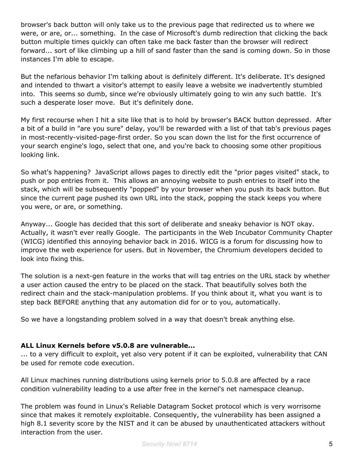browser's back button will only take us to the previous page that redirected us to where we were, or are, or... something. In the case of Microsoft's dumb redirection that clicking the back button multiple times quickly can often take me back faster than the browser will redirect forward... sort of like climbing up a hill of sand faster than the sand is coming down. So in those instances I'm able to escape.

But the nefarious behavior I'm talking about is definitely different. It's deliberate. It's designed and intended to thwart a visitor's attempt to easily leave a website we inadvertently stumbled into. This seems so dumb, since we're obviously ultimately going to win any such battle. It's such a desperate loser move. But it's definitely done.

My first recourse when I hit a site like that is to hold by browser's BACK button depressed. After a bit of a build in "are you sure" delay, you'll be rewarded with a list of that tab's previous pages in most-recently-visited-page-first order. So you scan down the list for the first occurrence of your search engine's logo, select that one, and you're back to choosing some other propitious looking link.

So what's happening? JavaScript allows pages to directly edit the "prior pages visited" stack, to push or pop entries from it. This allows an annoying website to push entries to itself into the stack, which will be subsequently "popped" by your browser when you push its back button. But since the current page pushed its own URL into the stack, popping the stack keeps you where you were, or are, or something.

Anyway... Google has decided that this sort of deliberate and sneaky behavior is NOT okay. Actually, it wasn't ever really Google. The participants in the Web Incubator Community Chapter (WICG) identified this annoying behavior back in 2016. WICG is a forum for discussing how to improve the web experience for users. But in November, the Chromium developers decided to look into fixing this.

The solution is a next-gen feature in the works that will tag entries on the URL stack by whether a user action caused the entry to be placed on the stack. That beautifully solves both the redirect chain and the stack-manipulation problems. If you think about it, what you want is to step back BEFORE anything that any automation did for or to you, automatically.

So we have a longstanding problem solved in a way that doesn't break anything else.

#### **ALL Linux Kernels before v5.0.8 are vulnerable...**

... to a very difficult to exploit, yet also very potent if it can be exploited, vulnerability that CAN be used for remote code execution.

All Linux machines running distributions using kernels prior to 5.0.8 are affected by a race condition vulnerability leading to a use after free in the kernel's net namespace cleanup.

The problem was found in Linux's Reliable Datagram Socket protocol which is very worrisome since that makes it remotely exploitable. Consequently, the vulnerability has been assigned a high 8.1 severity score by the NIST and it can be abused by unauthenticated attackers without interaction from the user.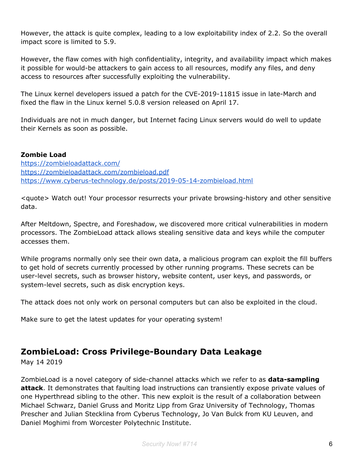However, the attack is quite complex, leading to a low exploitability index of 2.2. So the overall impact score is limited to 5.9.

However, the flaw comes with high confidentiality, integrity, and availability impact which makes it possible for would-be attackers to gain access to all resources, modify any files, and deny access to resources after successfully exploiting the vulnerability.

The Linux kernel developers issued a patch for the CVE-2019-11815 issue in late-March and fixed the flaw in the Linux kernel 5.0.8 version released on April 17.

Individuals are not in much danger, but Internet facing Linux servers would do well to update their Kernels as soon as possible.

#### **Zombie Load**

<https://zombieloadattack.com/> <https://zombieloadattack.com/zombieload.pdf> <https://www.cyberus-technology.de/posts/2019-05-14-zombieload.html>

<quote> Watch out! Your processor resurrects your private browsing-history and other sensitive data.

After Meltdown, Spectre, and Foreshadow, we discovered more critical vulnerabilities in modern processors. The ZombieLoad attack allows stealing sensitive data and keys while the computer accesses them.

While programs normally only see their own data, a malicious program can exploit the fill buffers to get hold of secrets currently processed by other running programs. These secrets can be user-level secrets, such as browser history, website content, user keys, and passwords, or system-level secrets, such as disk encryption keys.

The attack does not only work on personal computers but can also be exploited in the cloud.

Make sure to get the latest updates for your operating system!

### **ZombieLoad: Cross Privilege-Boundary Data Leakage**

May 14 2019

ZombieLoad is a novel category of side-channel attacks which we refer to as **data-sampling attack**. It demonstrates that faulting load instructions can transiently expose private values of one Hyperthread sibling to the other. This new exploit is the result of a collaboration between Michael Schwarz, Daniel Gruss and Moritz Lipp from Graz University of Technology, Thomas Prescher and Julian Stecklina from Cyberus Technology, Jo Van Bulck from KU Leuven, and Daniel Moghimi from Worcester Polytechnic Institute.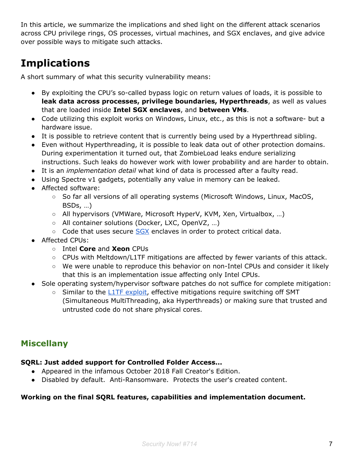In this article, we summarize the implications and shed light on the different attack scenarios across CPU privilege rings, OS processes, virtual machines, and SGX enclaves, and give advice over possible ways to mitigate such attacks.

# **Implications**

A short summary of what this security vulnerability means:

- By exploiting the CPU's so-called bypass logic on return values of loads, it is possible to **leak data across processes, privilege boundaries, Hyperthreads**, as well as values that are loaded inside **Intel SGX enclaves**, and **between VMs**.
- Code utilizing this exploit works on Windows, Linux, etc., as this is not a software- but a hardware issue.
- It is possible to retrieve content that is currently being used by a Hyperthread sibling.
- Even without Hyperthreading, it is possible to leak data out of other protection domains. During experimentation it turned out, that ZombieLoad leaks endure serializing instructions. Such leaks do however work with lower probability and are harder to obtain.
- It is an *implementation detail* what kind of data is processed after a faulty read.
- Using Spectre v1 gadgets, potentially any value in memory can be leaked.
- Affected software:
	- So far all versions of all operating systems (Microsoft Windows, Linux, MacOS, BSDs, …)
	- All hypervisors (VMWare, Microsoft HyperV, KVM, Xen, Virtualbox, …)
	- All container solutions (Docker, LXC, OpenVZ, …)
	- Code that uses secure [SGX](https://en.wikipedia.org/wiki/Software_Guard_Extensions) enclaves in order to protect critical data.
- Affected CPUs:
	- Intel **Core** and **Xeon** CPUs
	- CPUs with Meltdown/L1TF mitigations are affected by fewer variants of this attack.
	- We were unable to reproduce this behavior on non-Intel CPUs and consider it likely that this is an implementation issue affecting only Intel CPUs.
- Sole operating system/hypervisor software patches do not suffice for complete mitigation:
	- Similar to th[e](https://www.cyberus-technology.de/posts/2018-08-14-l1-terminal-fault.html) L1TF [exploit,](https://www.cyberus-technology.de/posts/2018-08-14-l1-terminal-fault.html) effective mitigations require switching off SMT (Simultaneous MultiThreading, aka Hyperthreads) or making sure that trusted and untrusted code do not share physical cores.

## **Miscellany**

#### **SQRL: Just added support for Controlled Folder Access...**

- Appeared in the infamous October 2018 Fall Creator's Edition.
- Disabled by default. Anti-Ransomware. Protects the user's created content.

#### **Working on the final SQRL features, capabilities and implementation document.**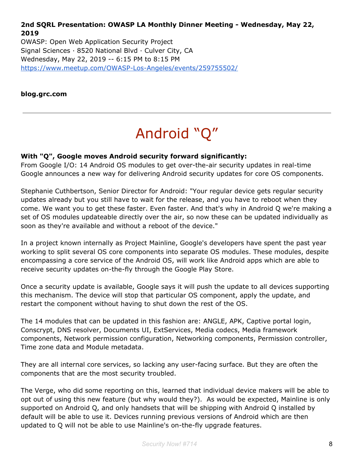**2nd SQRL Presentation: OWASP LA Monthly Dinner Meeting - Wednesday, May 22, 2019**

OWASP: Open Web Application Security Project Signal Sciences · 8520 National Blvd · Culver City, CA Wednesday, May 22, 2019 -- 6:15 PM to 8:15 PM <https://www.meetup.com/OWASP-Los-Angeles/events/259755502/>

**blog.grc.com**

# Android "Q"

#### **With "Q", Google moves Android security forward significantly:**

From Google I/O: 14 Android OS modules to get over-the-air security updates in real-time Google announces a new way for delivering Android security updates for core OS components.

Stephanie Cuthbertson, Senior Director for Android: "Your regular device gets regular security updates already but you still have to wait for the release, and you have to reboot when they come. We want you to get these faster. Even faster. And that's why in Android Q we're making a set of OS modules updateable directly over the air, so now these can be updated individually as soon as they're available and without a reboot of the device."

In a project known internally as Project Mainline, Google's developers have spent the past year working to split several OS core components into separate OS modules. These modules, despite encompassing a core service of the Android OS, will work like Android apps which are able to receive security updates on-the-fly through the Google Play Store.

Once a security update is available, Google says it will push the update to all devices supporting this mechanism. The device will stop that particular OS component, apply the update, and restart the component without having to shut down the rest of the OS.

The 14 modules that can be updated in this fashion are: ANGLE, APK, Captive portal login, Conscrypt, DNS resolver, Documents UI, ExtServices, Media codecs, Media framework components, Network permission configuration, Networking components, Permission controller, Time zone data and Module metadata.

They are all internal core services, so lacking any user-facing surface. But they are often the components that are the most security troubled.

The Verge, who did some reporting on this, learned that individual device makers will be able to opt out of using this new feature (but why would they?). As would be expected, Mainline is only supported on Android Q, and only handsets that will be shipping with Android Q installed by default will be able to use it. Devices running previous versions of Android which are then updated to Q will not be able to use Mainline's on-the-fly upgrade features.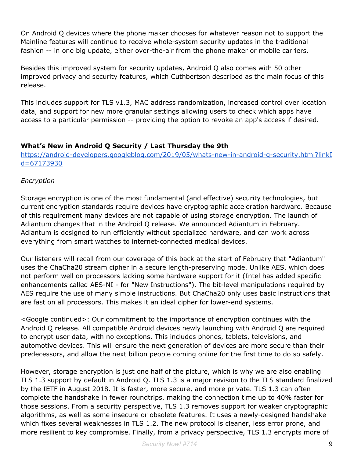On Android Q devices where the phone maker chooses for whatever reason not to support the Mainline features will continue to receive whole-system security updates in the traditional fashion -- in one big update, either over-the-air from the phone maker or mobile carriers.

Besides this improved system for security updates, Android Q also comes with 50 other improved privacy and security features, which Cuthbertson described as the main focus of this release.

This includes support for TLS v1.3, MAC address randomization, increased control over location data, and support for new more granular settings allowing users to check which apps have access to a particular permission -- providing the option to revoke an app's access if desired.

#### **What's New in Android Q Security / Last Thursday the 9th**

[https://android-developers.googleblog.com/2019/05/whats-new-in-android-q-security.html?linkI](https://android-developers.googleblog.com/2019/05/whats-new-in-android-q-security.html?linkId=67173930) [d=67173930](https://android-developers.googleblog.com/2019/05/whats-new-in-android-q-security.html?linkId=67173930)

#### *Encryption*

Storage encryption is one of the most fundamental (and effective) security technologies, but current encryption standards require devices have cryptographic acceleration hardware. Because of this requirement many devices are not capable of using storage encryption. The launch of Adiantum changes that in the Android Q release. We announced Adiantum in February. Adiantum is designed to run efficiently without specialized hardware, and can work across everything from smart watches to internet-connected medical devices.

Our listeners will recall from our coverage of this back at the start of February that "Adiantum" uses the ChaCha20 stream cipher in a secure length-preserving mode. Unlike AES, which does not perform well on processors lacking some hardware support for it (Intel has added specific enhancements called AES-NI - for "New Instructions"). The bit-level manipulations required by AES require the use of many simple instructions. But ChaCha20 only uses basic instructions that are fast on all processors. This makes it an ideal cipher for lower-end systems.

<Google continued>: Our commitment to the importance of encryption continues with the Android Q release. All compatible Android devices newly launching with Android Q are required to encrypt user data, with no exceptions. This includes phones, tablets, televisions, and automotive devices. This will ensure the next generation of devices are more secure than their predecessors, and allow the next billion people coming online for the first time to do so safely.

However, storage encryption is just one half of the picture, which is why we are also enabling TLS 1.3 support by default in Android Q. TLS 1.3 is a major revision to the TLS standard finalized by the IETF in August 2018. It is faster, more secure, and more private. TLS 1.3 can often complete the handshake in fewer roundtrips, making the connection time up to 40% faster for those sessions. From a security perspective, TLS 1.3 removes support for weaker cryptographic algorithms, as well as some insecure or obsolete features. It uses a newly-designed handshake which fixes several weaknesses in TLS 1.2. The new protocol is cleaner, less error prone, and more resilient to key compromise. Finally, from a privacy perspective, TLS 1.3 encrypts more of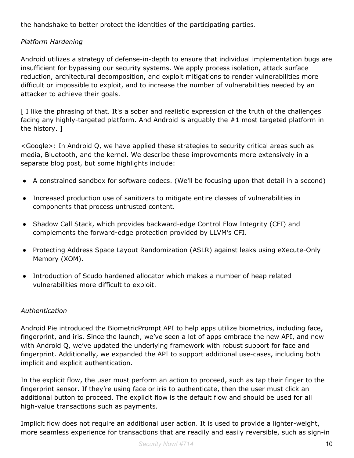the handshake to better protect the identities of the participating parties.

#### *Platform Hardening*

Android utilizes a strategy of defense-in-depth to ensure that individual implementation bugs are insufficient for bypassing our security systems. We apply process isolation, attack surface reduction, architectural decomposition, and exploit mitigations to render vulnerabilities more difficult or impossible to exploit, and to increase the number of vulnerabilities needed by an attacker to achieve their goals.

[I like the phrasing of that. It's a sober and realistic expression of the truth of the challenges facing any highly-targeted platform. And Android is arguably the #1 most targeted platform in the history. ]

<Google>: In Android Q, we have applied these strategies to security critical areas such as media, Bluetooth, and the kernel. We describe these improvements more extensively in a separate blog post, but some highlights include:

- A constrained sandbox for software codecs. (We'll be focusing upon that detail in a second)
- Increased production use of sanitizers to mitigate entire classes of vulnerabilities in components that process untrusted content.
- Shadow Call Stack, which provides backward-edge Control Flow Integrity (CFI) and complements the forward-edge protection provided by LLVM's CFI.
- Protecting Address Space Layout Randomization (ASLR) against leaks using eXecute-Only Memory (XOM).
- Introduction of Scudo hardened allocator which makes a number of heap related vulnerabilities more difficult to exploit.

#### *Authentication*

Android Pie introduced the BiometricPrompt API to help apps utilize biometrics, including face, fingerprint, and iris. Since the launch, we've seen a lot of apps embrace the new API, and now with Android Q, we've updated the underlying framework with robust support for face and fingerprint. Additionally, we expanded the API to support additional use-cases, including both implicit and explicit authentication.

In the explicit flow, the user must perform an action to proceed, such as tap their finger to the fingerprint sensor. If they're using face or iris to authenticate, then the user must click an additional button to proceed. The explicit flow is the default flow and should be used for all high-value transactions such as payments.

Implicit flow does not require an additional user action. It is used to provide a lighter-weight, more seamless experience for transactions that are readily and easily reversible, such as sign-in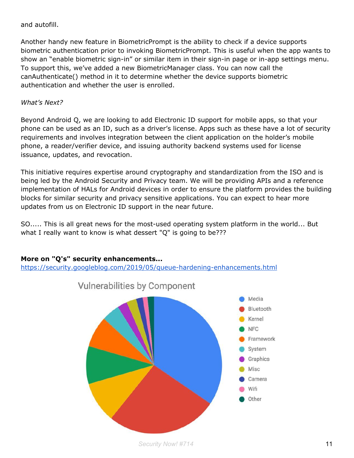#### and autofill.

Another handy new feature in BiometricPrompt is the ability to check if a device supports biometric authentication prior to invoking BiometricPrompt. This is useful when the app wants to show an "enable biometric sign-in" or similar item in their sign-in page or in-app settings menu. To support this, we've added a new BiometricManager class. You can now call the canAuthenticate() method in it to determine whether the device supports biometric authentication and whether the user is enrolled.

#### *What's Next?*

Beyond Android Q, we are looking to add Electronic ID support for mobile apps, so that your phone can be used as an ID, such as a driver's license. Apps such as these have a lot of security requirements and involves integration between the client application on the holder's mobile phone, a reader/verifier device, and issuing authority backend systems used for license issuance, updates, and revocation.

This initiative requires expertise around cryptography and standardization from the ISO and is being led by the Android Security and Privacy team. We will be providing APIs and a reference implementation of HALs for Android devices in order to ensure the platform provides the building blocks for similar security and privacy sensitive applications. You can expect to hear more updates from us on Electronic ID support in the near future.

SO..... This is all great news for the most-used operating system platform in the world... But what I really want to know is what dessert "Q" is going to be???

#### **More on "Q's" security enhancements...**

<https://security.googleblog.com/2019/05/queue-hardening-enhancements.html>





*Security Now! #714* 11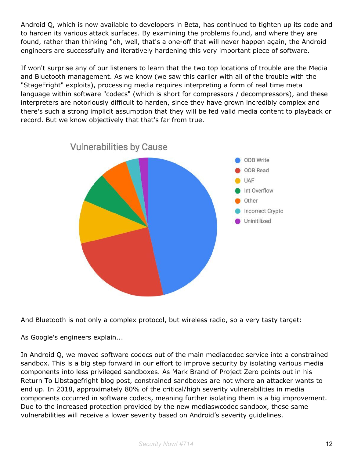Android Q, which is now available to developers in Beta, has continued to tighten up its code and to harden its various attack surfaces. By examining the problems found, and where they are found, rather than thinking "oh, well, that's a one-off that will never happen again, the Android engineers are successfully and iteratively hardening this very important piece of software.

If won't surprise any of our listeners to learn that the two top locations of trouble are the Media and Bluetooth management. As we know (we saw this earlier with all of the trouble with the "StageFright" exploits), processing media requires interpreting a form of real time meta language within software "codecs" (which is short for compressors / decompressors), and these interpreters are notoriously difficult to harden, since they have grown incredibly complex and there's such a strong implicit assumption that they will be fed valid media content to playback or record. But we know objectively that that's far from true.



And Bluetooth is not only a complex protocol, but wireless radio, so a very tasty target:

As Google's engineers explain...

In Android Q, we moved software codecs out of the main mediacodec service into a constrained sandbox. This is a big step forward in our effort to improve security by isolating various media components into less privileged sandboxes. As Mark Brand of Project Zero points out in his Return To Libstagefright blog post, constrained sandboxes are not where an attacker wants to end up. In 2018, approximately 80% of the critical/high severity vulnerabilities in media components occurred in software codecs, meaning further isolating them is a big improvement. Due to the increased protection provided by the new mediaswcodec sandbox, these same vulnerabilities will receive a lower severity based on Android's severity guidelines.